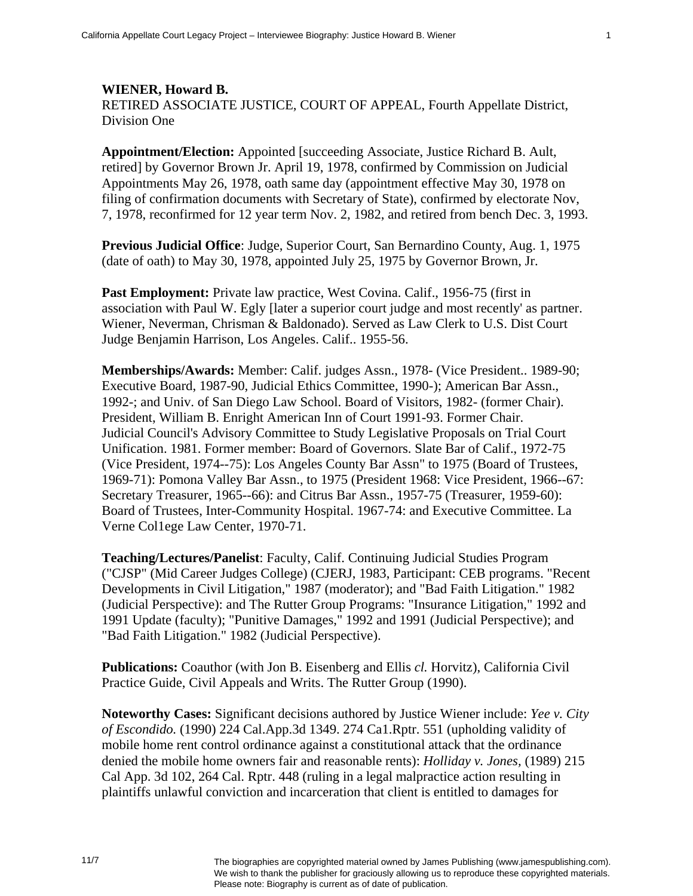## **WIENER, Howard B.**  RETIRED ASSOCIATE JUSTICE, COURT OF APPEAL, Fourth Appellate District, Division One

**Appointment/Election:** Appointed [succeeding Associate, Justice Richard B. Ault, retired] by Governor Brown Jr. April 19, 1978, confirmed by Commission on Judicial Appointments May 26, 1978, oath same day (appointment effective May 30, 1978 on filing of confirmation documents with Secretary of State), confirmed by electorate Nov, 7, 1978, reconfirmed for 12 year term Nov. 2, 1982, and retired from bench Dec. 3, 1993.

**Previous Judicial Office**: Judge, Superior Court, San Bernardino County, Aug. 1, 1975 (date of oath) to May 30, 1978, appointed July 25, 1975 by Governor Brown, Jr.

Past Employment: Private law practice, West Covina. Calif., 1956-75 (first in association with Paul W. Egly [later a superior court judge and most recently' as partner. Wiener, Neverman, Chrisman & Baldonado). Served as Law Clerk to U.S. Dist Court Judge Benjamin Harrison, Los Angeles. Calif.. 1955-56.

**Memberships/Awards:** Member: Calif. judges Assn., 1978- (Vice President.. 1989-90; Executive Board, 1987-90, Judicial Ethics Committee, 1990-); American Bar Assn., 1992-; and Univ. of San Diego Law School. Board of Visitors, 1982- (former Chair). President, William B. Enright American Inn of Court 1991-93. Former Chair. Judicial Council's Advisory Committee to Study Legislative Proposals on Trial Court Unification. 1981. Former member: Board of Governors. Slate Bar of Calif., 1972-75 (Vice President, 1974--75): Los Angeles County Bar Assn" to 1975 (Board of Trustees, 1969-71): Pomona Valley Bar Assn., to 1975 (President 1968: Vice President, 1966--67: Secretary Treasurer, 1965--66): and Citrus Bar Assn., 1957-75 (Treasurer, 1959-60): Board of Trustees, Inter-Community Hospital. 1967-74: and Executive Committee. La Verne Col1ege Law Center, 1970-71.

**Teaching/Lectures/Panelist**: Faculty, Calif. Continuing Judicial Studies Program ("CJSP" (Mid Career Judges College) (CJERJ, 1983, Participant: CEB programs. "Recent Developments in Civil Litigation," 1987 (moderator); and "Bad Faith Litigation." 1982 (Judicial Perspective): and The Rutter Group Programs: "Insurance Litigation," 1992 and 1991 Update (faculty); "Punitive Damages," 1992 and 1991 (Judicial Perspective); and "Bad Faith Litigation." 1982 (Judicial Perspective).

**Publications:** Coauthor (with Jon B. Eisenberg and Ellis *cl.* Horvitz), California Civil Practice Guide, Civil Appeals and Writs. The Rutter Group (1990).

**Noteworthy Cases:** Significant decisions authored by Justice Wiener include: *Yee v. City of Escondido.* (1990) 224 Cal.App.3d 1349. 274 Ca1.Rptr. 551 (upholding validity of mobile home rent control ordinance against a constitutional attack that the ordinance denied the mobile home owners fair and reasonable rents): *Holliday v. Jones,* (1989) 215 Cal App. 3d 102, 264 Cal. Rptr. 448 (ruling in a legal malpractice action resulting in plaintiffs unlawful conviction and incarceration that client is entitled to damages for